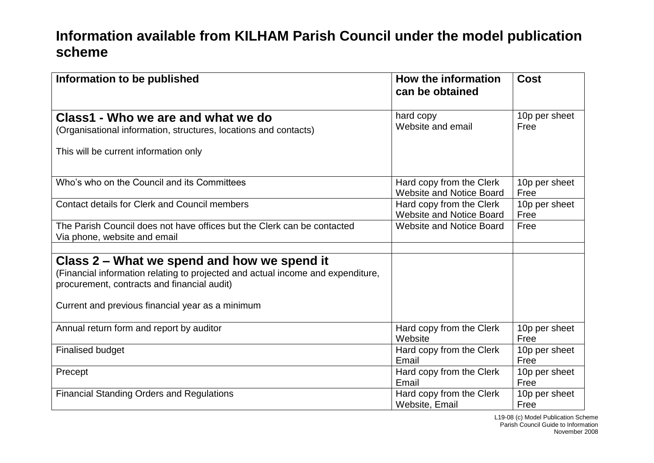## **Information available from KILHAM Parish Council under the model publication scheme**

| Information to be published                                                     | How the information<br>can be obtained | <b>Cost</b>   |
|---------------------------------------------------------------------------------|----------------------------------------|---------------|
| Class1 - Who we are and what we do                                              | hard copy                              | 10p per sheet |
| (Organisational information, structures, locations and contacts)                | Website and email                      | Free          |
| This will be current information only                                           |                                        |               |
| Who's who on the Council and its Committees                                     | Hard copy from the Clerk               | 10p per sheet |
|                                                                                 | <b>Website and Notice Board</b>        | Free          |
| <b>Contact details for Clerk and Council members</b>                            | Hard copy from the Clerk               | 10p per sheet |
|                                                                                 | <b>Website and Notice Board</b>        | Free          |
| The Parish Council does not have offices but the Clerk can be contacted         | <b>Website and Notice Board</b>        | Free          |
| Via phone, website and email                                                    |                                        |               |
|                                                                                 |                                        |               |
| Class 2 – What we spend and how we spend it                                     |                                        |               |
| (Financial information relating to projected and actual income and expenditure, |                                        |               |
| procurement, contracts and financial audit)                                     |                                        |               |
|                                                                                 |                                        |               |
| Current and previous financial year as a minimum                                |                                        |               |
| Annual return form and report by auditor                                        | Hard copy from the Clerk               | 10p per sheet |
|                                                                                 | Website                                | Free          |
| <b>Finalised budget</b>                                                         | Hard copy from the Clerk               | 10p per sheet |
|                                                                                 | Email                                  | Free          |
| Precept                                                                         | Hard copy from the Clerk               | 10p per sheet |
|                                                                                 | Email                                  | Free          |
| <b>Financial Standing Orders and Regulations</b>                                | Hard copy from the Clerk               | 10p per sheet |
|                                                                                 | Website, Email                         | Free          |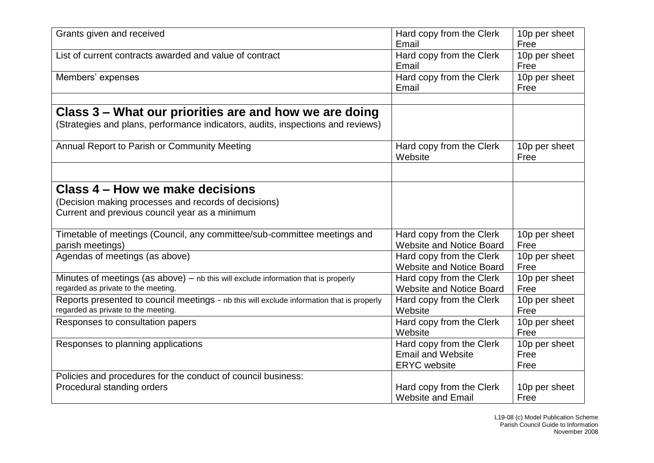| Grants given and received                                                                 | Hard copy from the Clerk<br>Email | 10p per sheet<br>Free |
|-------------------------------------------------------------------------------------------|-----------------------------------|-----------------------|
| List of current contracts awarded and value of contract                                   |                                   |                       |
|                                                                                           | Hard copy from the Clerk          | 10p per sheet         |
|                                                                                           | Email                             | Free                  |
| Members' expenses                                                                         | Hard copy from the Clerk          | 10p per sheet         |
|                                                                                           | Email                             | Free                  |
|                                                                                           |                                   |                       |
| Class 3 – What our priorities are and how we are doing                                    |                                   |                       |
| (Strategies and plans, performance indicators, audits, inspections and reviews)           |                                   |                       |
|                                                                                           |                                   |                       |
| Annual Report to Parish or Community Meeting                                              | Hard copy from the Clerk          | 10p per sheet         |
|                                                                                           | Website                           | Free                  |
|                                                                                           |                                   |                       |
| Class 4 – How we make decisions                                                           |                                   |                       |
| (Decision making processes and records of decisions)                                      |                                   |                       |
| Current and previous council year as a minimum                                            |                                   |                       |
|                                                                                           |                                   |                       |
| Timetable of meetings (Council, any committee/sub-committee meetings and                  | Hard copy from the Clerk          | 10p per sheet         |
| parish meetings)                                                                          | <b>Website and Notice Board</b>   | Free                  |
| Agendas of meetings (as above)                                                            | Hard copy from the Clerk          | 10p per sheet         |
|                                                                                           | <b>Website and Notice Board</b>   | Free                  |
| Minutes of meetings (as above) - nb this will exclude information that is properly        | Hard copy from the Clerk          | 10p per sheet         |
| regarded as private to the meeting.                                                       | <b>Website and Notice Board</b>   | Free                  |
| Reports presented to council meetings - nb this will exclude information that is properly | Hard copy from the Clerk          | 10p per sheet         |
| regarded as private to the meeting.                                                       | Website                           | Free                  |
| Responses to consultation papers                                                          | Hard copy from the Clerk          | 10p per sheet         |
|                                                                                           | Website                           | Free                  |
| Responses to planning applications                                                        | Hard copy from the Clerk          | 10p per sheet         |
|                                                                                           | <b>Email and Website</b>          | Free                  |
|                                                                                           | <b>ERYC</b> website               | Free                  |
| Policies and procedures for the conduct of council business:                              |                                   |                       |
| Procedural standing orders                                                                | Hard copy from the Clerk          | 10p per sheet         |
|                                                                                           | <b>Website and Email</b>          | Free                  |
|                                                                                           |                                   |                       |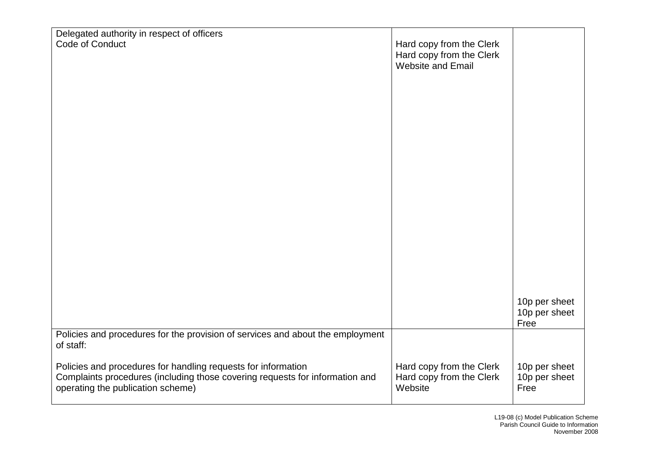| Delegated authority in respect of officers                                                                                                                                         |                                                                           |                                        |
|------------------------------------------------------------------------------------------------------------------------------------------------------------------------------------|---------------------------------------------------------------------------|----------------------------------------|
| Code of Conduct                                                                                                                                                                    | Hard copy from the Clerk<br>Hard copy from the Clerk<br>Website and Email |                                        |
|                                                                                                                                                                                    |                                                                           |                                        |
|                                                                                                                                                                                    |                                                                           |                                        |
|                                                                                                                                                                                    |                                                                           |                                        |
|                                                                                                                                                                                    |                                                                           |                                        |
|                                                                                                                                                                                    |                                                                           |                                        |
|                                                                                                                                                                                    |                                                                           |                                        |
|                                                                                                                                                                                    |                                                                           | 10p per sheet<br>10p per sheet<br>Free |
| Policies and procedures for the provision of services and about the employment<br>of staff:                                                                                        |                                                                           |                                        |
| Policies and procedures for handling requests for information<br>Complaints procedures (including those covering requests for information and<br>operating the publication scheme) | Hard copy from the Clerk<br>Hard copy from the Clerk<br>Website           | 10p per sheet<br>10p per sheet<br>Free |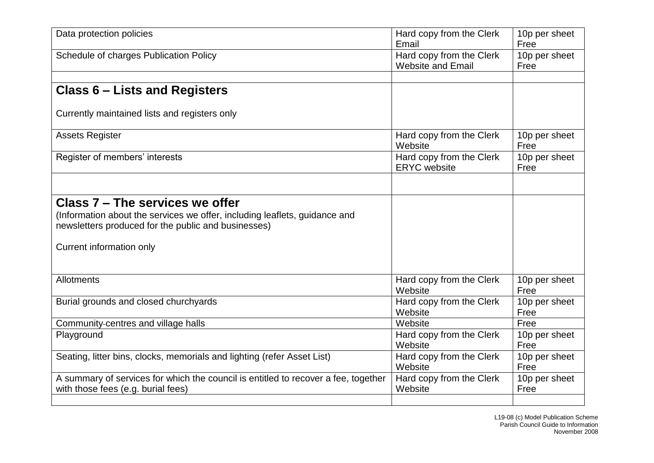| Data protection policies                                                           | Hard copy from the Clerk<br>Email               | 10p per sheet<br>Free |
|------------------------------------------------------------------------------------|-------------------------------------------------|-----------------------|
| Schedule of charges Publication Policy                                             | Hard copy from the Clerk                        | 10p per sheet         |
|                                                                                    | <b>Website and Email</b>                        | Free                  |
|                                                                                    |                                                 |                       |
| <b>Class 6 – Lists and Registers</b>                                               |                                                 |                       |
| Currently maintained lists and registers only                                      |                                                 |                       |
| <b>Assets Register</b>                                                             | Hard copy from the Clerk<br>Website             | 10p per sheet<br>Free |
| Register of members' interests                                                     | Hard copy from the Clerk<br><b>ERYC</b> website | 10p per sheet<br>Free |
|                                                                                    |                                                 |                       |
| Class 7 - The services we offer                                                    |                                                 |                       |
| (Information about the services we offer, including leaflets, guidance and         |                                                 |                       |
| newsletters produced for the public and businesses)                                |                                                 |                       |
|                                                                                    |                                                 |                       |
| Current information only                                                           |                                                 |                       |
|                                                                                    |                                                 |                       |
| Allotments                                                                         | Hard copy from the Clerk                        | 10p per sheet         |
|                                                                                    | Website                                         | Free                  |
| Burial grounds and closed churchyards                                              | Hard copy from the Clerk                        | 10p per sheet         |
|                                                                                    | Website                                         | Free                  |
| Community-centres and village halls                                                | Website                                         | Free                  |
| Playground                                                                         | Hard copy from the Clerk                        | 10p per sheet         |
|                                                                                    | Website                                         | Free                  |
| Seating, litter bins, clocks, memorials and lighting (refer Asset List)            | Hard copy from the Clerk                        | 10p per sheet         |
|                                                                                    | Website                                         | Free                  |
| A summary of services for which the council is entitled to recover a fee, together | Hard copy from the Clerk                        | 10p per sheet         |
| with those fees (e.g. burial fees)                                                 | Website                                         | Free                  |
|                                                                                    |                                                 |                       |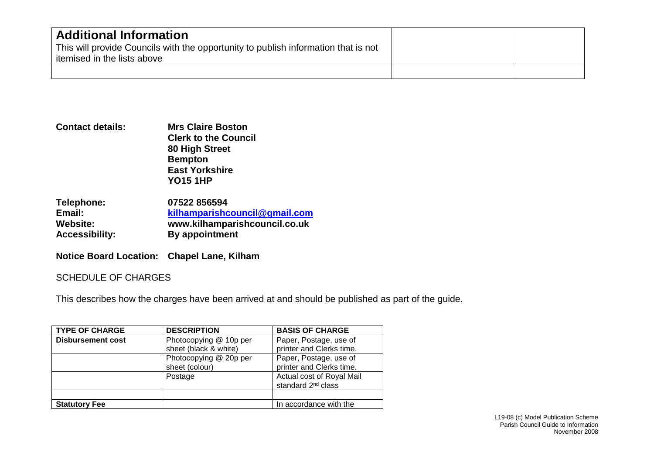| <b>Additional Information</b><br>This will provide Councils with the opportunity to publish information that is not<br>itemised in the lists above |  |
|----------------------------------------------------------------------------------------------------------------------------------------------------|--|
|                                                                                                                                                    |  |

**Contact details: Mrs Claire Boston Clerk to the Council 80 High Street Bempton East Yorkshire YO15 1HP**

| Telephone:            | 07522 856594                  |
|-----------------------|-------------------------------|
| Email:                | kilhamparishcouncil@gmail.com |
| Website:              | www.kilhamparishcouncil.co.uk |
| <b>Accessibility:</b> | By appointment                |

**Notice Board Location: Chapel Lane, Kilham**

## SCHEDULE OF CHARGES

This describes how the charges have been arrived at and should be published as part of the guide.

| <b>TYPE OF CHARGE</b>    | <b>DESCRIPTION</b>     | <b>BASIS OF CHARGE</b>         |
|--------------------------|------------------------|--------------------------------|
| <b>Disbursement cost</b> | Photocopying @ 10p per | Paper, Postage, use of         |
|                          | sheet (black & white)  | printer and Clerks time.       |
|                          | Photocopying @ 20p per | Paper, Postage, use of         |
|                          | sheet (colour)         | printer and Clerks time.       |
|                          | Postage                | Actual cost of Royal Mail      |
|                          |                        | standard 2 <sup>nd</sup> class |
|                          |                        |                                |
| <b>Statutory Fee</b>     |                        | In accordance with the         |